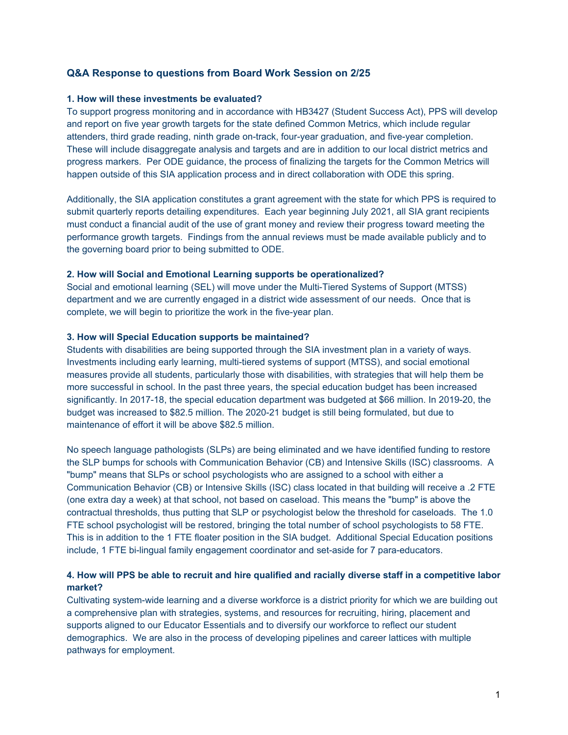## **Q&A Response to questions from Board Work Session on 2/25**

### **1. How will these investments be evaluated?**

To support progress monitoring and in accordance with HB3427 (Student Success Act), PPS will develop and report on five year growth targets for the state defined Common Metrics, which include regular attenders, third grade reading, ninth grade on-track, four-year graduation, and five-year completion. These will include disaggregate analysis and targets and are in addition to our local district metrics and progress markers. Per ODE guidance, the process of finalizing the targets for the Common Metrics will happen outside of this SIA application process and in direct collaboration with ODE this spring.

Additionally, the SIA application constitutes a grant agreement with the state for which PPS is required to submit quarterly reports detailing expenditures. Each year beginning July 2021, all SIA grant recipients must conduct a financial audit of the use of grant money and review their progress toward meeting the performance growth targets. Findings from the annual reviews must be made available publicly and to the governing board prior to being submitted to ODE.

### **2. How will Social and Emotional Learning supports be operationalized?**

Social and emotional learning (SEL) will move under the Multi-Tiered Systems of Support (MTSS) department and we are currently engaged in a district wide assessment of our needs. Once that is complete, we will begin to prioritize the work in the five-year plan.

### **3. How will Special Education supports be maintained?**

Students with disabilities are being supported through the SIA investment plan in a variety of ways. Investments including early learning, multi-tiered systems of support (MTSS), and social emotional measures provide all students, particularly those with disabilities, with strategies that will help them be more successful in school. In the past three years, the special education budget has been increased significantly. In 2017-18, the special education department was budgeted at \$66 million. In 2019-20, the budget was increased to \$82.5 million. The 2020-21 budget is still being formulated, but due to maintenance of effort it will be above \$82.5 million.

No speech language pathologists (SLPs) are being eliminated and we have identified funding to restore the SLP bumps for schools with Communication Behavior (CB) and Intensive Skills (ISC) classrooms. A "bump" means that SLPs or school psychologists who are assigned to a school with either a Communication Behavior (CB) or Intensive Skills (ISC) class located in that building will receive a .2 FTE (one extra day a week) at that school, not based on caseload. This means the "bump" is above the contractual thresholds, thus putting that SLP or psychologist below the threshold for caseloads. The 1.0 FTE school psychologist will be restored, bringing the total number of school psychologists to 58 FTE. This is in addition to the 1 FTE floater position in the SIA budget. Additional Special Education positions include, 1 FTE bi-lingual family engagement coordinator and set-aside for 7 para-educators.

# 4. How will PPS be able to recruit and hire qualified and racially diverse staff in a competitive labor **market?**

Cultivating system-wide learning and a diverse workforce is a district priority for which we are building out a comprehensive plan with strategies, systems, and resources for recruiting, hiring, placement and supports aligned to our Educator Essentials and to diversify our workforce to reflect our student demographics. We are also in the process of developing pipelines and career lattices with multiple pathways for employment.